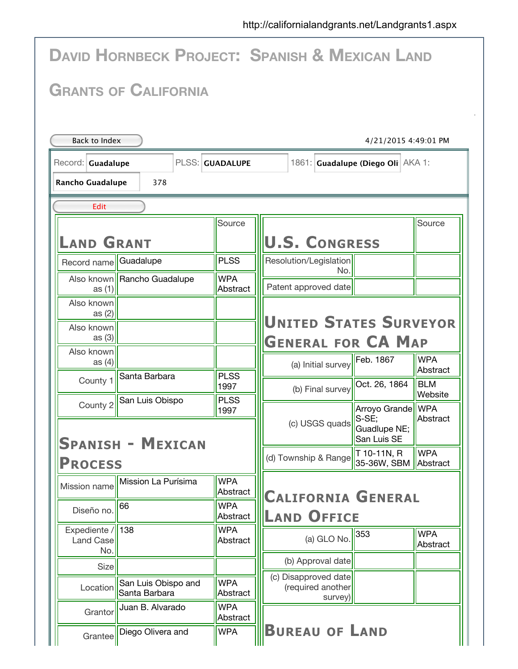| <b>DAVID HORNBECK PROJECT: SPANISH &amp; MEXICAN LAND</b>                 |                                      |                        |                                                                                           |  |  |  |  |  |  |  |
|---------------------------------------------------------------------------|--------------------------------------|------------------------|-------------------------------------------------------------------------------------------|--|--|--|--|--|--|--|
| <b>GRANTS OF CALIFORNIA</b>                                               |                                      |                        |                                                                                           |  |  |  |  |  |  |  |
| Back to Index<br>4/21/2015 4:49:01 PM                                     |                                      |                        |                                                                                           |  |  |  |  |  |  |  |
| Record: Guadalupe<br>PLSS: GUADALUPE<br>1861: Guadalupe (Diego Oli AKA 1: |                                      |                        |                                                                                           |  |  |  |  |  |  |  |
| Rancho Guadalupe<br>378                                                   |                                      |                        |                                                                                           |  |  |  |  |  |  |  |
| <b>Edit</b>                                                               |                                      |                        |                                                                                           |  |  |  |  |  |  |  |
| <b>LAND GRANT</b>                                                         |                                      | Source                 | Source<br><b>U.S. CONGRESS</b>                                                            |  |  |  |  |  |  |  |
| Record name                                                               | Guadalupe                            | <b>PLSS</b>            | Resolution/Legislation<br>No.                                                             |  |  |  |  |  |  |  |
| as $(1)$                                                                  | Also known   Rancho Guadalupe        | <b>WPA</b><br>Abstract | Patent approved date                                                                      |  |  |  |  |  |  |  |
| Also known<br>as $(2)$                                                    |                                      |                        | <b>UNITED STATES SURVEYOR</b>                                                             |  |  |  |  |  |  |  |
| Also known<br>as $(3)$                                                    |                                      |                        | <b>GENERAL FOR CA MAP</b>                                                                 |  |  |  |  |  |  |  |
| Also known<br>as $(4)$                                                    |                                      |                        | <b>WPA</b><br>Feb. 1867<br>(a) Initial survey                                             |  |  |  |  |  |  |  |
| County 1                                                                  | Santa Barbara                        | <b>PLSS</b><br>1997    | Abstract<br>Oct. 26, 1864<br><b>BLM</b><br>(b) Final survey<br>Website                    |  |  |  |  |  |  |  |
| County 2                                                                  | San Luis Obispo                      | <b>PLSS</b><br>1997    | Arroyo Grande   WPA<br>S-SE;<br>Abstract<br>(c) USGS quads<br>Guadlupe NE;<br>San Luis SE |  |  |  |  |  |  |  |
| <b>SPANISH - MEXICAN</b><br><b>PROCESS</b>                                |                                      |                        | T 10-11N, R<br><b>WPA</b><br>(d) Township & Range<br>35-36W, SBM Abstract                 |  |  |  |  |  |  |  |
| Mission name                                                              | Mission La Purísima                  | <b>WPA</b><br>Abstract | <b>CALIFORNIA GENERAL</b>                                                                 |  |  |  |  |  |  |  |
| Diseño no.                                                                | 66                                   | <b>WPA</b><br>Abstract | <b>LAND OFFICE</b>                                                                        |  |  |  |  |  |  |  |
| Expediente / $\ $ 138<br><b>Land Case</b><br>No.                          |                                      | <b>WPA</b><br>Abstract | 353<br><b>WPA</b><br>(a) GLO No.<br>Abstract                                              |  |  |  |  |  |  |  |
| <b>Size</b>                                                               |                                      |                        | (b) Approval date                                                                         |  |  |  |  |  |  |  |
| Location                                                                  | San Luis Obispo and<br>Santa Barbara | <b>WPA</b><br>Abstract | (c) Disapproved date<br>(required another<br>survey)                                      |  |  |  |  |  |  |  |
| Grantor                                                                   | Juan B. Alvarado                     | <b>WPA</b><br>Abstract |                                                                                           |  |  |  |  |  |  |  |
| Grantee                                                                   | Diego Olivera and                    | <b>WPA</b>             | <b>BUREAU OF LAND</b>                                                                     |  |  |  |  |  |  |  |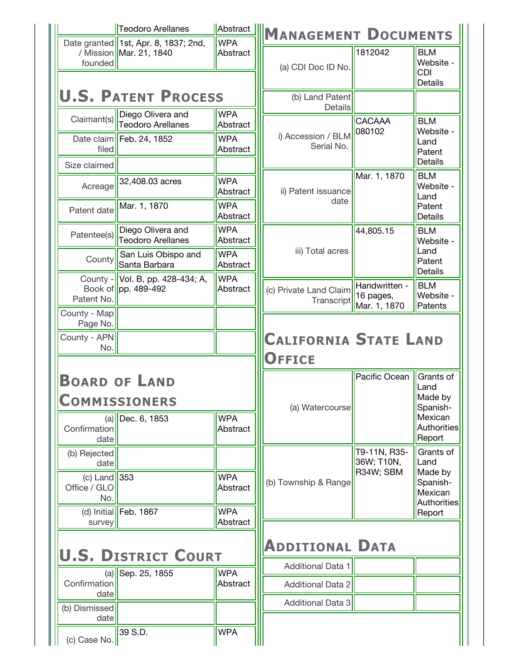|                                       | <b>Teodoro Arellanes</b>                                          |                        | Abstract    MANAGEMENT DOCUMENTS              |                                            |                                                  |
|---------------------------------------|-------------------------------------------------------------------|------------------------|-----------------------------------------------|--------------------------------------------|--------------------------------------------------|
| founded                               | Date granted   1st, Apr. 8, 1837; 2nd,<br>/ Mission Mar. 21, 1840 | <b>WPA</b><br>Abstract | (a) CDI Doc ID No.                            | 1812042                                    | <b>BLM</b><br>Website -<br><b>CDI</b><br>Details |
| <b>U.S. PATENT PROCESS</b>            |                                                                   |                        | (b) Land Patent<br><b>Details</b>             |                                            |                                                  |
| Claimant(s)                           | Diego Olivera and<br><b>Teodoro Arellanes</b>                     | <b>WPA</b><br>Abstract |                                               | CACAAA<br>080102                           | <b>BLM</b><br>Website -                          |
| filed                                 | Date claim Feb. 24, 1852                                          | <b>WPA</b><br>Abstract | i) Accession / BLM<br>Serial No.              |                                            | Land<br>Patent<br>Details                        |
| Size claimed                          |                                                                   |                        |                                               |                                            |                                                  |
| Acreage                               | 32,408.03 acres                                                   | <b>WPA</b><br>Abstract | ii) Patent issuance                           | Mar. 1, 1870                               | <b>BLM</b><br>Website -<br>Land                  |
| Patent date                           | Mar. 1, 1870                                                      | <b>WPA</b><br>Abstract | date                                          |                                            | Patent<br><b>Details</b>                         |
| Patentee(s)                           | Diego Olivera and<br><b>Teodoro Arellanes</b>                     | <b>WPA</b><br>Abstract |                                               | 44,805.15                                  | <b>BLM</b><br>Website -                          |
| County                                | San Luis Obispo and<br>Santa Barbara                              | <b>WPA</b><br>Abstract | iii) Total acres                              |                                            | Land<br>Patent<br>Details                        |
| County -<br>Patent No.                | Vol. B, pp. 428-434; A,<br>Book of $\vert$ pp. 489-492            | <b>WPA</b><br>Abstract | (c) Private Land Claim<br>Transcript          | Handwritten -<br>16 pages,<br>Mar. 1, 1870 | <b>BLM</b><br>Website -<br>Patents               |
| County - Map<br>Page No.              |                                                                   |                        |                                               |                                            |                                                  |
| County - APN<br>No.                   |                                                                   |                        | <b>CALIFORNIA STATE LAND</b><br><b>OFFICE</b> |                                            |                                                  |
|                                       | <b>BOARD OF LAND</b>                                              |                        |                                               | Pacific Ocean                              | Grants of                                        |
|                                       | <b>COMMISSIONERS</b>                                              | (a) Watercourse        |                                               | Land<br>Made by<br>Spanish-                |                                                  |
| (a)<br>Confirmation<br>date           | Dec. 6, 1853                                                      | <b>WPA</b><br>Abstract |                                               |                                            | Mexican<br>Authorities<br>Report                 |
| (b) Rejected<br>date                  |                                                                   |                        |                                               | T9-11N, R35-<br>36W; T10N,                 | Grants of<br>Land                                |
| (c) Land $353$<br>Office / GLO<br>No. |                                                                   | <b>WPA</b><br>Abstract | (b) Township & Range                          | R34W; SBM                                  | Made by<br>Spanish-<br>Mexican<br>Authorities    |
| survey                                | (d) Initial Feb. 1867                                             | <b>WPA</b><br>Abstract |                                               |                                            | Report                                           |
|                                       | <b>U.S. DISTRICT COURT</b>                                        |                        | <b>ADDITIONAL DATA</b>                        |                                            |                                                  |
| (a)                                   | Sep. 25, 1855                                                     | <b>WPA</b>             | <b>Additional Data 1</b>                      |                                            |                                                  |
| Confirmation<br>date                  |                                                                   | Abstract               | <b>Additional Data 2</b>                      |                                            |                                                  |
| (b) Dismissed<br>date                 |                                                                   |                        | <b>Additional Data 3</b>                      |                                            |                                                  |
| (c) Case No.                          | 39 S.D.                                                           | <b>WPA</b>             |                                               |                                            |                                                  |